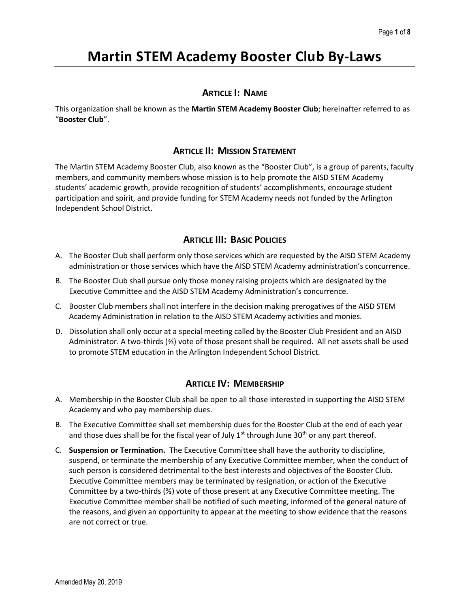# Martin STEM Academy Booster Club By-Laws

## ARTICLE I: NAME

This organization shall be known as the Martin STEM Academy Booster Club; hereinafter referred to as "Booster Club".

# ARTICLE II: MISSION STATEMENT

The Martin STEM Academy Booster Club, also known as the "Booster Club", is a group of parents, faculty members, and community members whose mission is to help promote the AISD STEM Academy students' academic growth, provide recognition of students' accomplishments, encourage student participation and spirit, and provide funding for STEM Academy needs not funded by the Arlington Independent School District.

# **ARTICLE III: BASIC POLICIES**

- A. The Booster Club shall perform only those services which are requested by the AISD STEM Academy administration or those services which have the AISD STEM Academy administration's concurrence.
- B. The Booster Club shall pursue only those money raising projects which are designated by the Executive Committee and the AISD STEM Academy Administration's concurrence.
- C. Booster Club members shall not interfere in the decision making prerogatives of the AISD STEM Academy Administration in relation to the AISD STEM Academy activities and monies.
- D. Dissolution shall only occur at a special meeting called by the Booster Club President and an AISD Administrator. A two-thirds (⅔) vote of those present shall be required. All net assets shall be used to promote STEM education in the Arlington Independent School District.

## ARTICLE IV: MEMBERSHIP

- A. Membership in the Booster Club shall be open to all those interested in supporting the AISD STEM Academy and who pay membership dues.
- B. The Executive Committee shall set membership dues for the Booster Club at the end of each year and those dues shall be for the fiscal year of July  $1<sup>st</sup>$  through June 30<sup>th</sup> or any part thereof.
- C. Suspension or Termination. The Executive Committee shall have the authority to discipline, suspend, or terminate the membership of any Executive Committee member, when the conduct of such person is considered detrimental to the best interests and objectives of the Booster Club. Executive Committee members may be terminated by resignation, or action of the Executive Committee by a two-thirds (⅔) vote of those present at any Executive Committee meeting. The Executive Committee member shall be notified of such meeting, informed of the general nature of the reasons, and given an opportunity to appear at the meeting to show evidence that the reasons are not correct or true.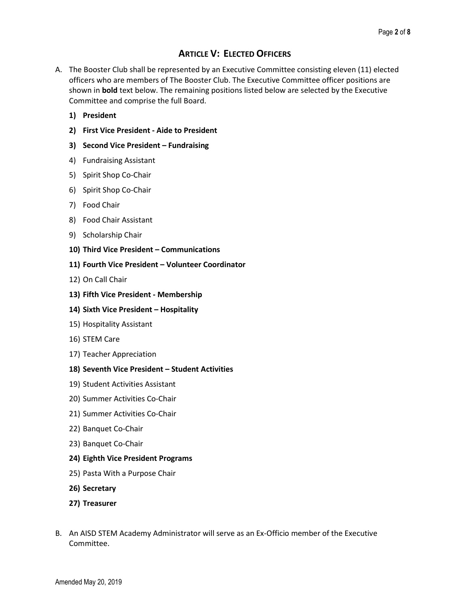# ARTICLE V: ELECTED OFFICERS

- A. The Booster Club shall be represented by an Executive Committee consisting eleven (11) elected officers who are members of The Booster Club. The Executive Committee officer positions are shown in **bold** text below. The remaining positions listed below are selected by the Executive Committee and comprise the full Board.
	- 1) President
	- 2) First Vice President Aide to President
	- 3) Second Vice President Fundraising
	- 4) Fundraising Assistant
	- 5) Spirit Shop Co-Chair
	- 6) Spirit Shop Co-Chair
	- 7) Food Chair
	- 8) Food Chair Assistant
	- 9) Scholarship Chair
	- 10) Third Vice President Communications
	- 11) Fourth Vice President Volunteer Coordinator
	- 12) On Call Chair
	- 13) Fifth Vice President Membership
	- 14) Sixth Vice President Hospitality
	- 15) Hospitality Assistant
	- 16) STEM Care
	- 17) Teacher Appreciation

#### 18) Seventh Vice President – Student Activities

- 19) Student Activities Assistant
- 20) Summer Activities Co-Chair
- 21) Summer Activities Co-Chair
- 22) Banquet Co-Chair
- 23) Banquet Co-Chair
- 24) Eighth Vice President Programs
- 25) Pasta With a Purpose Chair
- 26) Secretary
- 27) Treasurer
- B. An AISD STEM Academy Administrator will serve as an Ex-Officio member of the Executive Committee.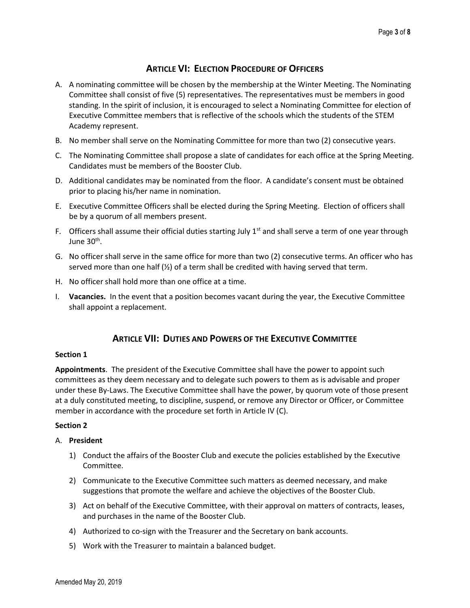# ARTICLE VI: ELECTION PROCEDURE OF OFFICERS

- A. A nominating committee will be chosen by the membership at the Winter Meeting. The Nominating Committee shall consist of five (5) representatives. The representatives must be members in good standing. In the spirit of inclusion, it is encouraged to select a Nominating Committee for election of Executive Committee members that is reflective of the schools which the students of the STEM Academy represent.
- B. No member shall serve on the Nominating Committee for more than two (2) consecutive years.
- C. The Nominating Committee shall propose a slate of candidates for each office at the Spring Meeting. Candidates must be members of the Booster Club.
- D. Additional candidates may be nominated from the floor. A candidate's consent must be obtained prior to placing his/her name in nomination.
- E. Executive Committee Officers shall be elected during the Spring Meeting. Election of officers shall be by a quorum of all members present.
- F. Officers shall assume their official duties starting July  $1<sup>st</sup>$  and shall serve a term of one year through June 30<sup>th</sup>.
- G. No officer shall serve in the same office for more than two (2) consecutive terms. An officer who has served more than one half  $\mathcal{V}_2$  of a term shall be credited with having served that term.
- H. No officer shall hold more than one office at a time.
- I. Vacancies. In the event that a position becomes vacant during the year, the Executive Committee shall appoint a replacement.

# ARTICLE VII: DUTIES AND POWERS OF THE EXECUTIVE COMMITTEE

#### Section 1

Appointments. The president of the Executive Committee shall have the power to appoint such committees as they deem necessary and to delegate such powers to them as is advisable and proper under these By-Laws. The Executive Committee shall have the power, by quorum vote of those present at a duly constituted meeting, to discipline, suspend, or remove any Director or Officer, or Committee member in accordance with the procedure set forth in Article IV (C).

#### Section 2

#### A. President

- 1) Conduct the affairs of the Booster Club and execute the policies established by the Executive Committee.
- 2) Communicate to the Executive Committee such matters as deemed necessary, and make suggestions that promote the welfare and achieve the objectives of the Booster Club.
- 3) Act on behalf of the Executive Committee, with their approval on matters of contracts, leases, and purchases in the name of the Booster Club.
- 4) Authorized to co-sign with the Treasurer and the Secretary on bank accounts.
- 5) Work with the Treasurer to maintain a balanced budget.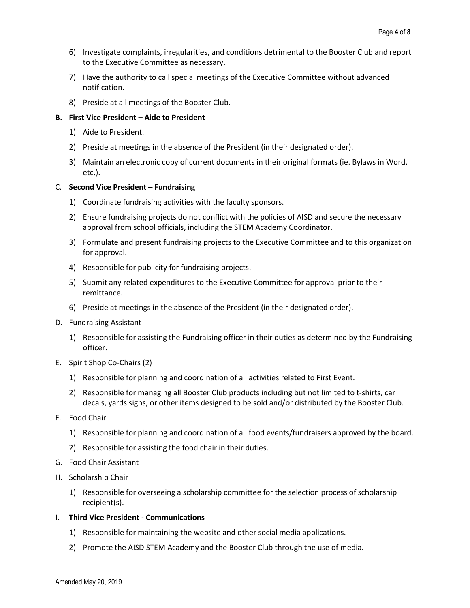- 6) Investigate complaints, irregularities, and conditions detrimental to the Booster Club and report to the Executive Committee as necessary.
- 7) Have the authority to call special meetings of the Executive Committee without advanced notification.
- 8) Preside at all meetings of the Booster Club.

#### B. First Vice President – Aide to President

- 1) Aide to President.
- 2) Preside at meetings in the absence of the President (in their designated order).
- 3) Maintain an electronic copy of current documents in their original formats (ie. Bylaws in Word, etc.).

#### C. Second Vice President – Fundraising

- 1) Coordinate fundraising activities with the faculty sponsors.
- 2) Ensure fundraising projects do not conflict with the policies of AISD and secure the necessary approval from school officials, including the STEM Academy Coordinator.
- 3) Formulate and present fundraising projects to the Executive Committee and to this organization for approval.
- 4) Responsible for publicity for fundraising projects.
- 5) Submit any related expenditures to the Executive Committee for approval prior to their remittance.
- 6) Preside at meetings in the absence of the President (in their designated order).
- D. Fundraising Assistant
	- 1) Responsible for assisting the Fundraising officer in their duties as determined by the Fundraising officer.
- E. Spirit Shop Co-Chairs (2)
	- 1) Responsible for planning and coordination of all activities related to First Event.
	- 2) Responsible for managing all Booster Club products including but not limited to t-shirts, car decals, yards signs, or other items designed to be sold and/or distributed by the Booster Club.
- F. Food Chair
	- 1) Responsible for planning and coordination of all food events/fundraisers approved by the board.
	- 2) Responsible for assisting the food chair in their duties.
- G. Food Chair Assistant
- H. Scholarship Chair
	- 1) Responsible for overseeing a scholarship committee for the selection process of scholarship recipient(s).

## I. Third Vice President - Communications

- 1) Responsible for maintaining the website and other social media applications.
- 2) Promote the AISD STEM Academy and the Booster Club through the use of media.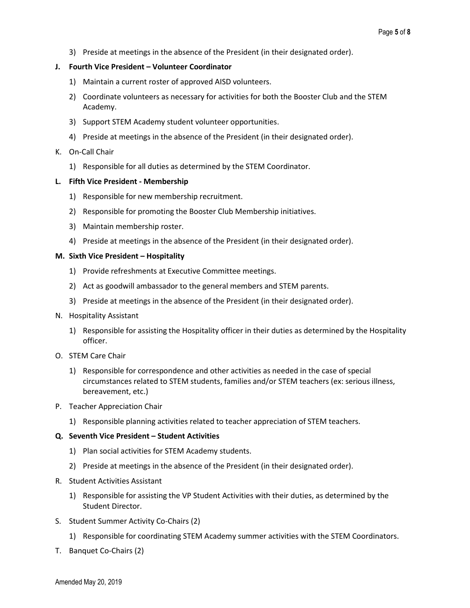3) Preside at meetings in the absence of the President (in their designated order).

#### J. Fourth Vice President – Volunteer Coordinator

- 1) Maintain a current roster of approved AISD volunteers.
- 2) Coordinate volunteers as necessary for activities for both the Booster Club and the STEM Academy.
- 3) Support STEM Academy student volunteer opportunities.
- 4) Preside at meetings in the absence of the President (in their designated order).

#### K. On-Call Chair

1) Responsible for all duties as determined by the STEM Coordinator.

#### L. Fifth Vice President - Membership

- 1) Responsible for new membership recruitment.
- 2) Responsible for promoting the Booster Club Membership initiatives.
- 3) Maintain membership roster.
- 4) Preside at meetings in the absence of the President (in their designated order).

#### M. Sixth Vice President – Hospitality

- 1) Provide refreshments at Executive Committee meetings.
- 2) Act as goodwill ambassador to the general members and STEM parents.
- 3) Preside at meetings in the absence of the President (in their designated order).
- N. Hospitality Assistant
	- 1) Responsible for assisting the Hospitality officer in their duties as determined by the Hospitality officer.
- O. STEM Care Chair
	- 1) Responsible for correspondence and other activities as needed in the case of special circumstances related to STEM students, families and/or STEM teachers (ex: serious illness, bereavement, etc.)
- P. Teacher Appreciation Chair
	- 1) Responsible planning activities related to teacher appreciation of STEM teachers.

#### Q. Seventh Vice President – Student Activities

- 1) Plan social activities for STEM Academy students.
- 2) Preside at meetings in the absence of the President (in their designated order).
- R. Student Activities Assistant
	- 1) Responsible for assisting the VP Student Activities with their duties, as determined by the Student Director.
- S. Student Summer Activity Co-Chairs (2)
	- 1) Responsible for coordinating STEM Academy summer activities with the STEM Coordinators.
- T. Banquet Co-Chairs (2)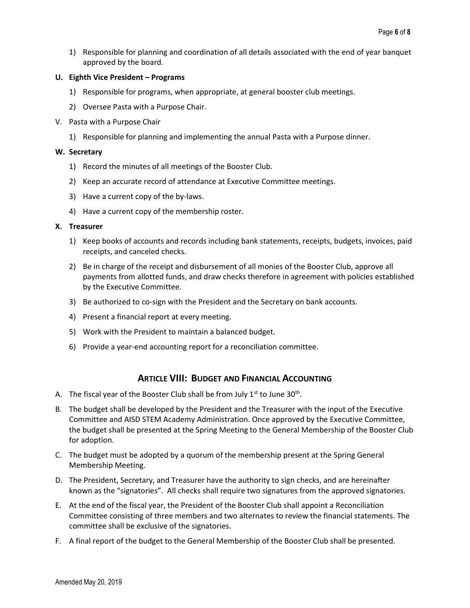1) Responsible for planning and coordination of all details associated with the end of year banquet approved by the board.

#### U. Eighth Vice President – Programs

- 1) Responsible for programs, when appropriate, at general booster club meetings.
- 2) Oversee Pasta with a Purpose Chair.
- V. Pasta with a Purpose Chair
	- 1) Responsible for planning and implementing the annual Pasta with a Purpose dinner.

#### W. Secretary

- 1) Record the minutes of all meetings of the Booster Club.
- 2) Keep an accurate record of attendance at Executive Committee meetings.
- 3) Have a current copy of the by-laws.
- 4) Have a current copy of the membership roster.

#### X. Treasurer

- 1) Keep books of accounts and records including bank statements, receipts, budgets, invoices, paid receipts, and canceled checks.
- 2) Be in charge of the receipt and disbursement of all monies of the Booster Club, approve all payments from allotted funds, and draw checks therefore in agreement with policies established by the Executive Committee.
- 3) Be authorized to co-sign with the President and the Secretary on bank accounts.
- 4) Present a financial report at every meeting.
- 5) Work with the President to maintain a balanced budget.
- 6) Provide a year-end accounting report for a reconciliation committee.

## ARTICLE VIII: BUDGET AND FINANCIAL ACCOUNTING

- A. The fiscal year of the Booster Club shall be from July  $1<sup>st</sup>$  to June 30<sup>th</sup>.
- B. The budget shall be developed by the President and the Treasurer with the input of the Executive Committee and AISD STEM Academy Administration. Once approved by the Executive Committee, the budget shall be presented at the Spring Meeting to the General Membership of the Booster Club for adoption.
- C. The budget must be adopted by a quorum of the membership present at the Spring General Membership Meeting.
- D. The President, Secretary, and Treasurer have the authority to sign checks, and are hereinafter known as the "signatories". All checks shall require two signatures from the approved signatories.
- E. At the end of the fiscal year, the President of the Booster Club shall appoint a Reconciliation Committee consisting of three members and two alternates to review the financial statements. The committee shall be exclusive of the signatories.
- F. A final report of the budget to the General Membership of the Booster Club shall be presented.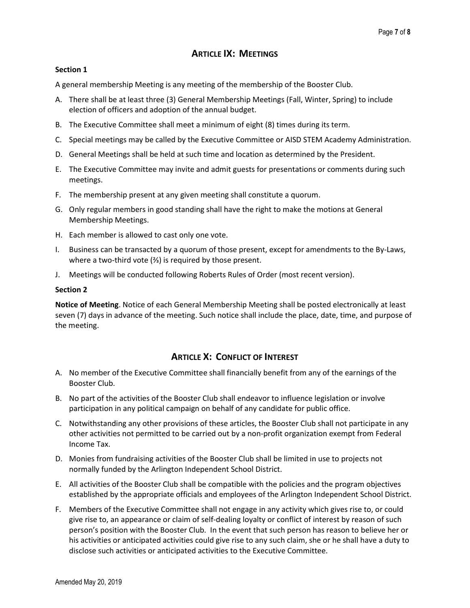# ARTICLE IX: MEETINGS

## Section 1

A general membership Meeting is any meeting of the membership of the Booster Club.

- A. There shall be at least three (3) General Membership Meetings (Fall, Winter, Spring) to include election of officers and adoption of the annual budget.
- B. The Executive Committee shall meet a minimum of eight (8) times during its term.
- C. Special meetings may be called by the Executive Committee or AISD STEM Academy Administration.
- D. General Meetings shall be held at such time and location as determined by the President.
- E. The Executive Committee may invite and admit guests for presentations or comments during such meetings.
- F. The membership present at any given meeting shall constitute a quorum.
- G. Only regular members in good standing shall have the right to make the motions at General Membership Meetings.
- H. Each member is allowed to cast only one vote.
- I. Business can be transacted by a quorum of those present, except for amendments to the By-Laws, where a two-third vote (⅔) is required by those present.
- J. Meetings will be conducted following Roberts Rules of Order (most recent version).

## Section 2

Notice of Meeting. Notice of each General Membership Meeting shall be posted electronically at least seven (7) days in advance of the meeting. Such notice shall include the place, date, time, and purpose of the meeting.

# ARTICLE X: CONFLICT OF INTEREST

- A. No member of the Executive Committee shall financially benefit from any of the earnings of the Booster Club.
- B. No part of the activities of the Booster Club shall endeavor to influence legislation or involve participation in any political campaign on behalf of any candidate for public office.
- C. Notwithstanding any other provisions of these articles, the Booster Club shall not participate in any other activities not permitted to be carried out by a non-profit organization exempt from Federal Income Tax.
- D. Monies from fundraising activities of the Booster Club shall be limited in use to projects not normally funded by the Arlington Independent School District.
- E. All activities of the Booster Club shall be compatible with the policies and the program objectives established by the appropriate officials and employees of the Arlington Independent School District.
- F. Members of the Executive Committee shall not engage in any activity which gives rise to, or could give rise to, an appearance or claim of self-dealing loyalty or conflict of interest by reason of such person's position with the Booster Club. In the event that such person has reason to believe her or his activities or anticipated activities could give rise to any such claim, she or he shall have a duty to disclose such activities or anticipated activities to the Executive Committee.